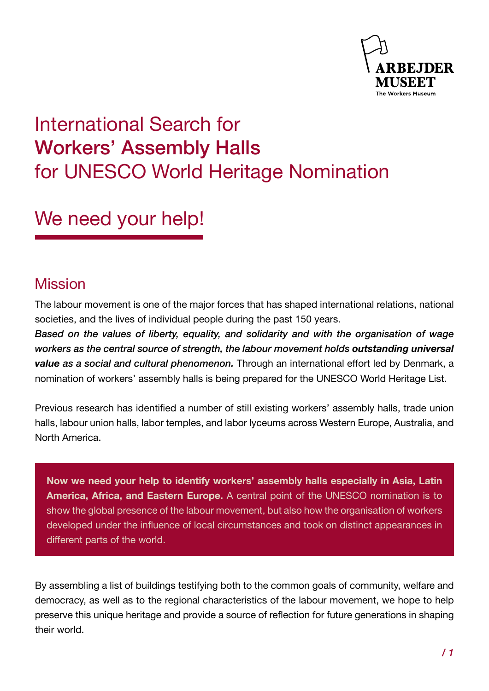

# International Search for Workers' Assembly Halls for UNESCO World Heritage Nomination

# We need your help!

### Mission

The labour movement is one of the major forces that has shaped international relations, national societies, and the lives of individual people during the past 150 years.

*Based on the values of liberty, equality, and solidarity and with the organisation of wage workers as the central source of strength, the labour movement holds outstanding universal value as a social and cultural phenomenon.* Through an international effort led by Denmark, a nomination of workers' assembly halls is being prepared for the UNESCO World Heritage List.

Previous research has identified a number of still existing workers' assembly halls, trade union halls, labour union halls, labor temples, and labor lyceums across Western Europe, Australia, and North America.

**Now we need your help to identify workers' assembly halls especially in Asia, Latin America, Africa, and Eastern Europe.** A central point of the UNESCO nomination is to show the global presence of the labour movement, but also how the organisation of workers developed under the influence of local circumstances and took on distinct appearances in different parts of the world.

By assembling a list of buildings testifying both to the common goals of community, welfare and democracy, as well as to the regional characteristics of the labour movement, we hope to help preserve this unique heritage and provide a source of reflection for future generations in shaping their world.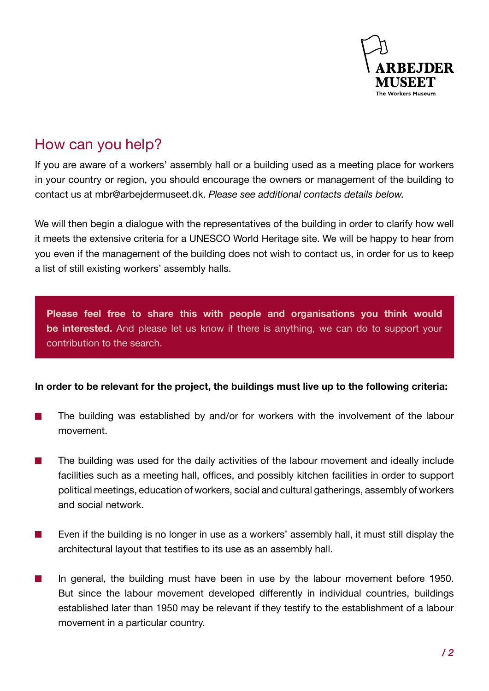

## How can you help?

If you are aware of a workers' assembly hall or a building used as a meeting place for workers in your country or region, you should encourage the owners or management of the building to contact us at mbr@arbejdermuseet.dk. *Please see additional contacts details below.*

We will then begin a dialogue with the representatives of the building in order to clarify how well it meets the extensive criteria for a UNESCO World Heritage site. We will be happy to hear from you even if the management of the building does not wish to contact us, in order for us to keep a list of still existing workers' assembly halls.

**Please feel free to share this with people and organisations you think would be interested.** And please let us know if there is anything, we can do to support your contribution to the search.

#### **In order to be relevant for the project, the buildings must live up to the following criteria:**

- The building was established by and/or for workers with the involvement of the labour  $\sim$ movement.
- The building was used for the daily activities of the labour movement and ideally include **Tale** facilities such as a meeting hall, offices, and possibly kitchen facilities in order to support political meetings, education of workers, social and cultural gatherings, assembly of workers and social network.
- $\mathcal{L}_{\mathcal{A}}$ Even if the building is no longer in use as a workers' assembly hall, it must still display the architectural layout that testifies to its use as an assembly hall.
- In general, the building must have been in use by the labour movement before 1950.  $\mathcal{L}_{\mathcal{A}}$ But since the labour movement developed differently in individual countries, buildings established later than 1950 may be relevant if they testify to the establishment of a labour movement in a particular country.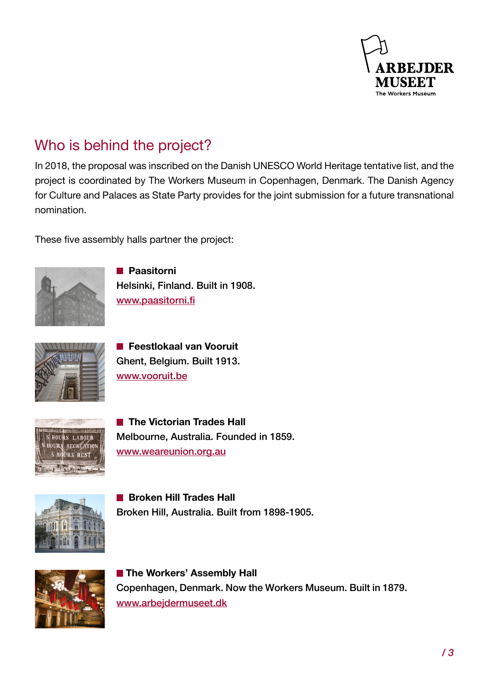

## Who is behind the project?

In 2018, the proposal was inscribed on the Danish UNESCO World Heritage tentative list, and the project is coordinated by The Workers Museum in Copenhagen, Denmark. The Danish Agency for Culture and Palaces as State Party provides for the joint submission for a future transnational nomination.

These five assembly halls partner the project:



 **Paasitorni** Helsinki, Finland. Built in 1908. [www.paasitorni.fi](http://www.paasitorni.fi)



**Feestlokaal van Vooruit** Ghent, Belgium. Built 1913. [www.vooruit.be](http://www.vooruit.be)



**The Victorian Trades Hall** Melbourne, Australia. Founded in 1859. [www.weareunion.org.au](http://www.weareunion.org.au)



**Broken Hill Trades Hall** Broken Hill, Australia. Built from 1898-1905.



**The Workers' Assembly Hall** Copenhagen, Denmark. Now the Workers Museum. Built in 1879. [www.arbejdermuseet.dk](http://www.arbejdermuseet.dk)